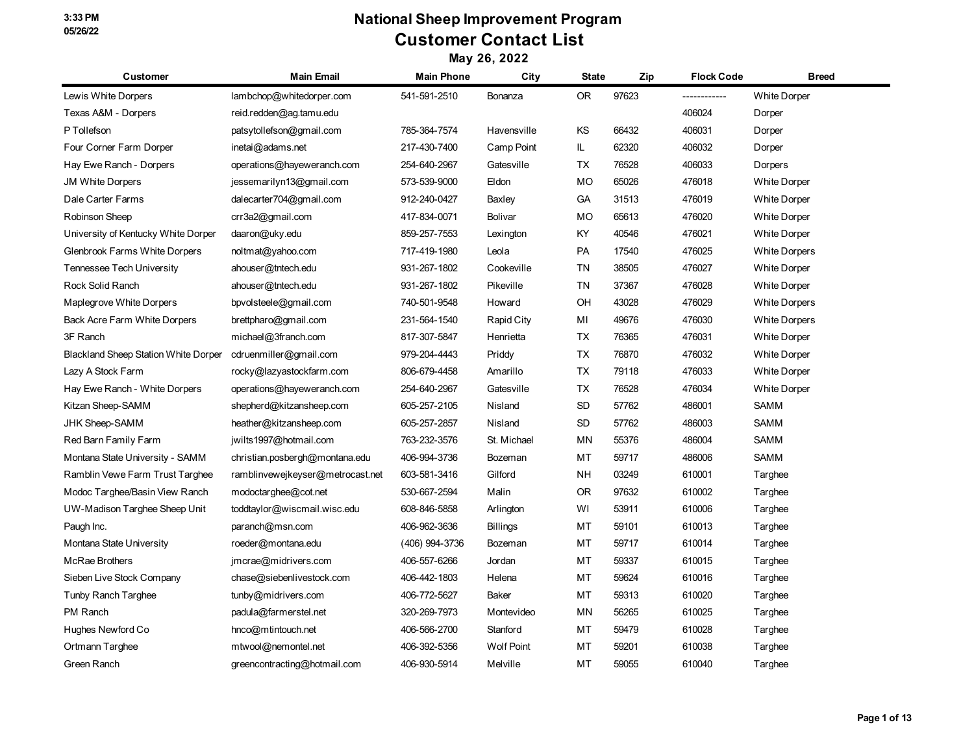| <b>Customer</b>                                             | <b>Main Email</b>                | <b>Main Phone</b> | City              | <b>State</b> | Zip   | <b>Flock Code</b> | <b>Breed</b>         |
|-------------------------------------------------------------|----------------------------------|-------------------|-------------------|--------------|-------|-------------------|----------------------|
| Lewis White Dorpers                                         | lambchop@whitedorper.com         | 541-591-2510      | Bonanza           | <b>OR</b>    | 97623 | ------------      | <b>White Dorper</b>  |
| Texas A&M - Dorpers                                         | reid.redden@ag.tamu.edu          |                   |                   |              |       | 406024            | Dorper               |
| P Tollefson                                                 | patsytollefson@gmail.com         | 785-364-7574      | Havensville       | ΚS           | 66432 | 406031            | Dorper               |
| Four Corner Farm Dorper                                     | inetai@adams.net                 | 217-430-7400      | Camp Point        | IL.          | 62320 | 406032            | Dorper               |
| Hay Ewe Ranch - Dorpers                                     | operations@hayeweranch.com       | 254-640-2967      | Gatesville        | TX           | 76528 | 406033            | Dorpers              |
| <b>JM White Dorpers</b>                                     | jessemarilyn13@gmail.com         | 573-539-9000      | Eldon             | MO           | 65026 | 476018            | <b>White Dorper</b>  |
| Dale Carter Farms                                           | dalecarter704@gmail.com          | 912-240-0427      | Baxley            | GA           | 31513 | 476019            | <b>White Dorper</b>  |
| Robinson Sheep                                              | crr3a2@gmail.com                 | 417-834-0071      | Bolivar           | MO           | 65613 | 476020            | <b>White Dorper</b>  |
| University of Kentucky White Dorper                         | daaron@uky.edu                   | 859-257-7553      | Lexington         | KY           | 40546 | 476021            | <b>White Dorper</b>  |
| <b>Glenbrook Farms White Dorpers</b>                        | noltmat@yahoo.com                | 717-419-1980      | Leola             | PA           | 17540 | 476025            | <b>White Dorpers</b> |
| Tennessee Tech University                                   | ahouser@tntech.edu               | 931-267-1802      | Cookeville        | TN           | 38505 | 476027            | <b>White Dorper</b>  |
| Rock Solid Ranch                                            | ahouser@tntech.edu               | 931-267-1802      | Pikeville         | TN           | 37367 | 476028            | <b>White Dorper</b>  |
| Maplegrove White Dorpers                                    | bpvolsteele@gmail.com            | 740-501-9548      | Howard            | OH           | 43028 | 476029            | <b>White Dorpers</b> |
| Back Acre Farm White Dorpers                                | brettpharo@gmail.com             | 231-564-1540      | Rapid City        | ΜI           | 49676 | 476030            | <b>White Dorpers</b> |
| 3F Ranch                                                    | michael@3franch.com              | 817-307-5847      | Henrietta         | ТX           | 76365 | 476031            | <b>White Dorper</b>  |
| Blackland Sheep Station White Dorper cdruenmiller@gmail.com |                                  | 979-204-4443      | Priddy            | TX           | 76870 | 476032            | <b>White Dorper</b>  |
| Lazy A Stock Farm                                           | rocky@lazyastockfarm.com         | 806-679-4458      | Amarillo          | TX           | 79118 | 476033            | <b>White Dorper</b>  |
| Hay Ewe Ranch - White Dorpers                               | operations@hayeweranch.com       | 254-640-2967      | Gatesville        | ТX           | 76528 | 476034            | <b>White Dorper</b>  |
| Kitzan Sheep-SAMM                                           | shepherd@kitzansheep.com         | 605-257-2105      | Nisland           | SD           | 57762 | 486001            | SAMM                 |
| <b>JHK Sheep-SAMM</b>                                       | heather@kitzansheep.com          | 605-257-2857      | Nisland           | SD           | 57762 | 486003            | SAMM                 |
| Red Barn Family Farm                                        | jwilts1997@hotmail.com           | 763-232-3576      | St. Michael       | MN           | 55376 | 486004            | <b>SAMM</b>          |
| Montana State University - SAMM                             | christian.posbergh@montana.edu   | 406-994-3736      | Bozeman           | МT           | 59717 | 486006            | <b>SAMM</b>          |
| Ramblin Vewe Farm Trust Targhee                             | ramblinvewejkeyser@metrocast.net | 603-581-3416      | Gilford           | NΗ           | 03249 | 610001            | Targhee              |
| Modoc Targhee/Basin View Ranch                              | modoctarghee@cot.net             | 530-667-2594      | Malin             | <b>OR</b>    | 97632 | 610002            | Targhee              |
| UW-Madison Targhee Sheep Unit                               | toddtaylor@wiscmail.wisc.edu     | 608-846-5858      | Arlington         | W١           | 53911 | 610006            | Targhee              |
| Paugh Inc.                                                  | paranch@msn.com                  | 406-962-3636      | Billings          | МT           | 59101 | 610013            | Targhee              |
| Montana State University                                    | roeder@montana.edu               | (406) 994-3736    | Bozeman           | MT           | 59717 | 610014            | Targhee              |
| McRae Brothers                                              | jmcrae@midrivers.com             | 406-557-6266      | Jordan            | МT           | 59337 | 610015            | Targhee              |
| Sieben Live Stock Company                                   | chase@siebenlivestock.com        | 406-442-1803      | Helena            | МT           | 59624 | 610016            | Targhee              |
| <b>Tunby Ranch Targhee</b>                                  | tunby@midrivers.com              | 406-772-5627      | Baker             | МT           | 59313 | 610020            | Targhee              |
| PM Ranch                                                    | padula@farmerstel.net            | 320-269-7973      | Montevideo        | ΜN           | 56265 | 610025            | Targhee              |
| Hughes Newford Co                                           | hnco@mtintouch.net               | 406-566-2700      | Stanford          | МT           | 59479 | 610028            | Targhee              |
| Ortmann Targhee                                             | mtwool@nemontel.net              | 406-392-5356      | <b>Wolf Point</b> | MT           | 59201 | 610038            | Targhee              |
| Green Ranch                                                 | greencontracting@hotmail.com     | 406-930-5914      | Melville          | MT           | 59055 | 610040            | Targhee              |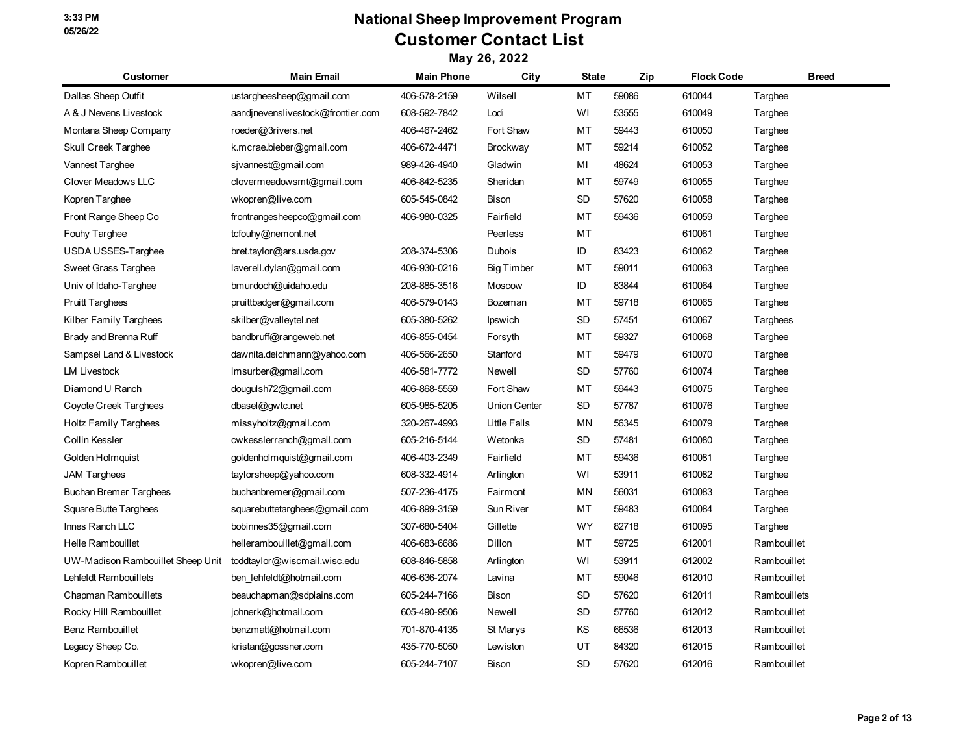| Customer                          | <b>Main Email</b>                 | <b>Main Phone</b> | City                | <b>State</b> | Zip   | <b>Flock Code</b> | <b>Breed</b> |
|-----------------------------------|-----------------------------------|-------------------|---------------------|--------------|-------|-------------------|--------------|
| Dallas Sheep Outfit               | ustargheesheep@gmail.com          | 406-578-2159      | Wilsell             | МT           | 59086 | 610044            | Targhee      |
| A & J Nevens Livestock            | aandinevenslivestock@frontier.com | 608-592-7842      | Lodi                | WI           | 53555 | 610049            | Targhee      |
| Montana Sheep Company             | roeder@3rivers.net                | 406-467-2462      | Fort Shaw           | MT           | 59443 | 610050            | Targhee      |
| Skull Creek Targhee               | k.mcrae.bieber@gmail.com          | 406-672-4471      | <b>Brockway</b>     | МT           | 59214 | 610052            | Targhee      |
| Vannest Targhee                   | sjvannest@gmail.com               | 989-426-4940      | Gladwin             | MI           | 48624 | 610053            | Targhee      |
| Clover Meadows LLC                | clovermeadowsmt@gmail.com         | 406-842-5235      | Sheridan            | MT           | 59749 | 610055            | Targhee      |
| Kopren Targhee                    | wkopren@live.com                  | 605-545-0842      | Bison               | SD           | 57620 | 610058            | Targhee      |
| Front Range Sheep Co              | frontrangesheepco@gmail.com       | 406-980-0325      | Fairfield           | МT           | 59436 | 610059            | Targhee      |
| Fouhy Targhee                     | tcfouhy@nemont.net                |                   | Peerless            | MT           |       | 610061            | Targhee      |
| USDA USSES-Targhee                | bret.taylor@ars.usda.gov          | 208-374-5306      | Dubois              | ID           | 83423 | 610062            | Targhee      |
| Sweet Grass Targhee               | laverell.dylan@gmail.com          | 406-930-0216      | <b>Big Timber</b>   | MT           | 59011 | 610063            | Targhee      |
| Univ of Idaho-Targhee             | bmurdoch@uidaho.edu               | 208-885-3516      | Moscow              | ID           | 83844 | 610064            | Targhee      |
| <b>Pruitt Targhees</b>            | pruittbadger@gmail.com            | 406-579-0143      | Bozeman             | МT           | 59718 | 610065            | Targhee      |
| Kilber Family Targhees            | skilber@valleytel.net             | 605-380-5262      | Ipswich             | SD           | 57451 | 610067            | Targhees     |
| Brady and Brenna Ruff             | bandbruff@rangeweb.net            | 406-855-0454      | Forsyth             | MT           | 59327 | 610068            | Targhee      |
| Sampsel Land & Livestock          | dawnita.deichmann@yahoo.com       | 406-566-2650      | Stanford            | MT           | 59479 | 610070            | Targhee      |
| <b>LM Livestock</b>               | Imsurber@gmail.com                | 406-581-7772      | Newell              | SD           | 57760 | 610074            | Targhee      |
| Diamond U Ranch                   | dougulsh72@gmail.com              | 406-868-5559      | Fort Shaw           | MT           | 59443 | 610075            | Targhee      |
| Coyote Creek Targhees             | dbasel@gwtc.net                   | 605-985-5205      | Union Center        | SD           | 57787 | 610076            | Targhee      |
| <b>Holtz Family Targhees</b>      | missyholtz@gmail.com              | 320-267-4993      | <b>Little Falls</b> | MN           | 56345 | 610079            | Targhee      |
| Collin Kessler                    | cwkesslerranch@gmail.com          | 605-216-5144      | Wetonka             | SD           | 57481 | 610080            | Targhee      |
| Golden Holmquist                  | goldenholmquist@gmail.com         | 406-403-2349      | Fairfield           | МT           | 59436 | 610081            | Targhee      |
| <b>JAM Targhees</b>               | taylorsheep@yahoo.com             | 608-332-4914      | Arlington           | W١           | 53911 | 610082            | Targhee      |
| <b>Buchan Bremer Targhees</b>     | buchanbremer@gmail.com            | 507-236-4175      | Fairmont            | MN           | 56031 | 610083            | Targhee      |
| Square Butte Targhees             | squarebuttetarghees@gmail.com     | 406-899-3159      | Sun River           | MT           | 59483 | 610084            | Targhee      |
| Innes Ranch LLC                   | bobinnes35@gmail.com              | 307-680-5404      | Gillette            | WY           | 82718 | 610095            | Targhee      |
| Helle Rambouillet                 | hellerambouillet@gmail.com        | 406-683-6686      | Dillon              | МT           | 59725 | 612001            | Rambouillet  |
| UW-Madison Rambouillet Sheep Unit | toddtaylor@wiscmail.wisc.edu      | 608-846-5858      | Arlington           | WI           | 53911 | 612002            | Rambouillet  |
| Lehfeldt Rambouillets             | ben lehfeldt@hotmail.com          | 406-636-2074      | Lavina              | МT           | 59046 | 612010            | Rambouillet  |
| Chapman Rambouillets              | beauchapman@sdplains.com          | 605-244-7166      | Bison               | SD           | 57620 | 612011            | Rambouillets |
| Rocky Hill Rambouillet            | johnerk@hotmail.com               | 605-490-9506      | Newell              | SD           | 57760 | 612012            | Rambouillet  |
| <b>Benz Rambouillet</b>           | benzmatt@hotmail.com              | 701-870-4135      | St Marys            | KS           | 66536 | 612013            | Rambouillet  |
| Legacy Sheep Co.                  | kristan@gossner.com               | 435-770-5050      | Lewiston            | UT           | 84320 | 612015            | Rambouillet  |
| Kopren Rambouillet                | wkopren@live.com                  | 605-244-7107      | Bison               | <b>SD</b>    | 57620 | 612016            | Rambouillet  |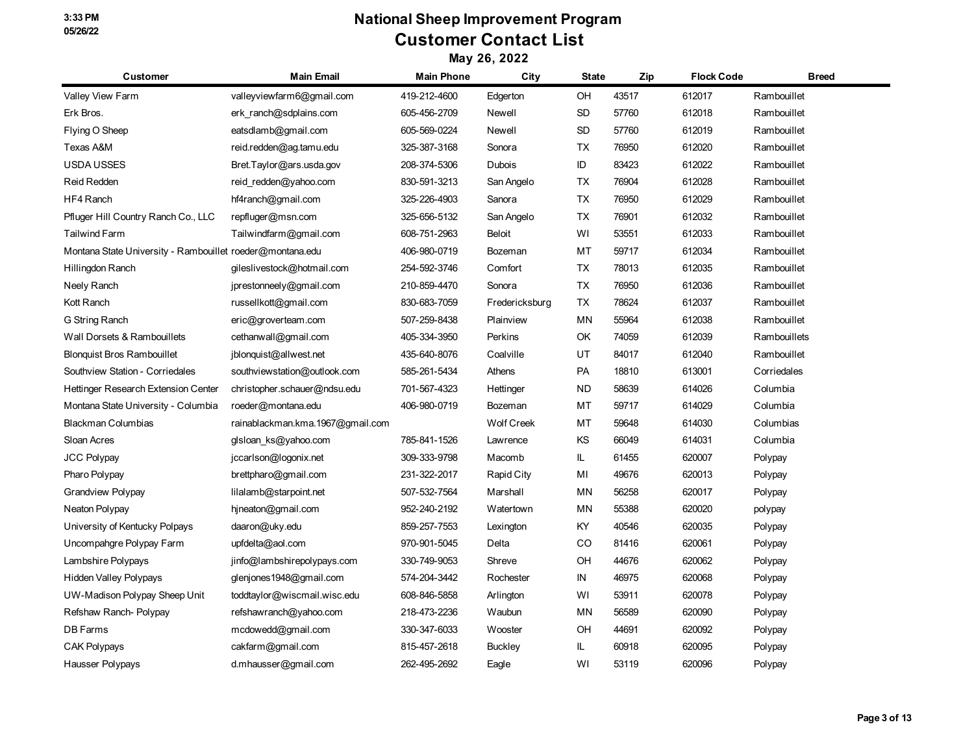| <b>Customer</b>                                           | <b>Main Email</b>                | <b>Main Phone</b> | City              | State     | Zip   | <b>Flock Code</b> | <b>Breed</b> |
|-----------------------------------------------------------|----------------------------------|-------------------|-------------------|-----------|-------|-------------------|--------------|
| <b>Valley View Farm</b>                                   | valleyviewfarm6@gmail.com        | 419-212-4600      | Edgerton          | OH        | 43517 | 612017            | Rambouillet  |
| Erk Bros.                                                 | erk ranch@sdplains.com           | 605-456-2709      | Newell            | <b>SD</b> | 57760 | 612018            | Rambouillet  |
| Flying O Sheep                                            | eatsdlamb@gmail.com              | 605-569-0224      | Newell            | SD        | 57760 | 612019            | Rambouillet  |
| Texas A&M                                                 | reid.redden@ag.tamu.edu          | 325-387-3168      | Sonora            | ТX        | 76950 | 612020            | Rambouillet  |
| <b>USDA USSES</b>                                         | Bret.Taylor@ars.usda.gov         | 208-374-5306      | <b>Dubois</b>     | ID        | 83423 | 612022            | Rambouillet  |
| <b>Reid Redden</b>                                        | reid redden@yahoo.com            | 830-591-3213      | San Angelo        | TX        | 76904 | 612028            | Rambouillet  |
| HF4 Ranch                                                 | hf4ranch@gmail.com               | 325-226-4903      | Sanora            | ТX        | 76950 | 612029            | Rambouillet  |
| Pfluger Hill Country Ranch Co., LLC                       | repfluger@msn.com                | 325-656-5132      | San Angelo        | TX        | 76901 | 612032            | Rambouillet  |
| <b>Tailwind Farm</b>                                      | Tailwindfarm@gmail.com           | 608-751-2963      | Beloit            | WI        | 53551 | 612033            | Rambouillet  |
| Montana State University - Rambouillet roeder@montana.edu |                                  | 406-980-0719      | Bozeman           | МT        | 59717 | 612034            | Rambouillet  |
| Hillingdon Ranch                                          | gileslivestock@hotmail.com       | 254-592-3746      | Comfort           | ТX        | 78013 | 612035            | Rambouillet  |
| Neely Ranch                                               | jprestonneely@gmail.com          | 210-859-4470      | Sonora            | TX        | 76950 | 612036            | Rambouillet  |
| Kott Ranch                                                | russellkott@gmail.com            | 830-683-7059      | Fredericksburg    | ТX        | 78624 | 612037            | Rambouillet  |
| G String Ranch                                            | eric@groverteam.com              | 507-259-8438      | Plainview         | ΜN        | 55964 | 612038            | Rambouillet  |
| Wall Dorsets & Rambouillets                               | cethanwall@gmail.com             | 405-334-3950      | Perkins           | OK        | 74059 | 612039            | Rambouillets |
| <b>Blonquist Bros Rambouillet</b>                         | jblonquist@allwest.net           | 435-640-8076      | Coalville         | UT        | 84017 | 612040            | Rambouillet  |
| Southview Station - Corriedales                           | southviewstation@outlook.com     | 585-261-5434      | Athens            | PA        | 18810 | 613001            | Corriedales  |
| Hettinger Research Extension Center                       | christopher.schauer@ndsu.edu     | 701-567-4323      | Hettinger         | <b>ND</b> | 58639 | 614026            | Columbia     |
| Montana State University - Columbia                       | roeder@montana.edu               | 406-980-0719      | Bozeman           | MT        | 59717 | 614029            | Columbia     |
| Blackman Columbias                                        | rainablackman.kma.1967@gmail.com |                   | <b>Wolf Creek</b> | MT        | 59648 | 614030            | Columbias    |
| Sloan Acres                                               | glsloan ks@yahoo.com             | 785-841-1526      | Lawrence          | KS        | 66049 | 614031            | Columbia     |
| <b>JCC Polypay</b>                                        | jccarlson@logonix.net            | 309-333-9798      | Macomb            | IL.       | 61455 | 620007            | Polypay      |
| Pharo Polypay                                             | brettpharo@gmail.com             | 231-322-2017      | Rapid City        | MI        | 49676 | 620013            | Polypay      |
| Grandview Polypay                                         | lilalamb@starpoint.net           | 507-532-7564      | Marshall          | MN        | 56258 | 620017            | Polypay      |
| Neaton Polypay                                            | hineaton@gmail.com               | 952-240-2192      | Watertown         | MN        | 55388 | 620020            | polypay      |
| University of Kentucky Polpays                            | daaron@uky.edu                   | 859-257-7553      | Lexington         | KY        | 40546 | 620035            | Polypay      |
| Uncompahgre Polypay Farm                                  | upfdelta@aol.com                 | 970-901-5045      | Delta             | CO        | 81416 | 620061            | Polypay      |
| Lambshire Polypays                                        | jinfo@lambshirepolypays.com      | 330-749-9053      | Shreve            | OH        | 44676 | 620062            | Polypay      |
| Hidden Valley Polypays                                    | glenjones1948@gmail.com          | 574-204-3442      | Rochester         | IN        | 46975 | 620068            | Polypay      |
| UW-Madison Polypay Sheep Unit                             | toddtaylor@wiscmail.wisc.edu     | 608-846-5858      | Arlington         | WI        | 53911 | 620078            | Polypay      |
| Refshaw Ranch-Polypay                                     | refshawranch@yahoo.com           | 218-473-2236      | Waubun            | MN        | 56589 | 620090            | Polypay      |
| <b>DB</b> Farms                                           | mcdowedd@gmail.com               | 330-347-6033      | Wooster           | OH        | 44691 | 620092            | Polypay      |
| <b>CAK Polypays</b>                                       | cakfarm@gmail.com                | 815-457-2618      | <b>Buckley</b>    | IL.       | 60918 | 620095            | Polypay      |
| Hausser Polypays                                          | d.mhausser@gmail.com             | 262-495-2692      | Eagle             | WI        | 53119 | 620096            | Polypay      |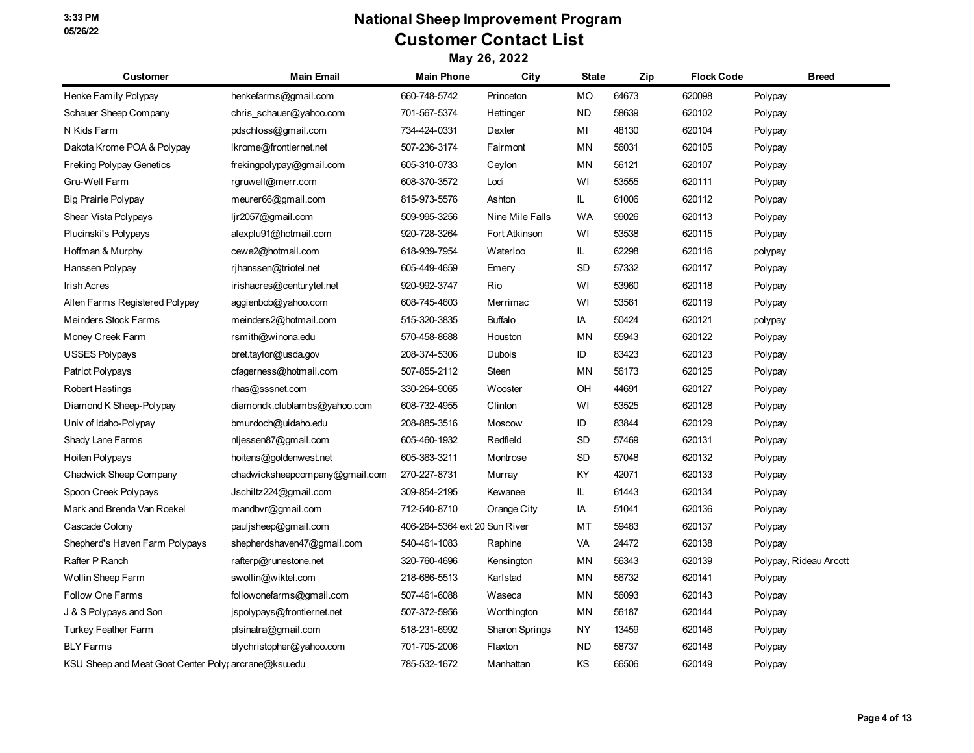| Customer                                             | <b>Main Email</b>              | <b>Main Phone</b>             | City                  | <b>State</b> | Zip   | <b>Flock Code</b> | <b>Breed</b>           |
|------------------------------------------------------|--------------------------------|-------------------------------|-----------------------|--------------|-------|-------------------|------------------------|
| Henke Family Polypay                                 | henkefarms@gmail.com           | 660-748-5742                  | Princeton             | <b>MO</b>    | 64673 | 620098            | Polypay                |
| <b>Schauer Sheep Company</b>                         | chris schauer@yahoo.com        | 701-567-5374                  | Hettinger             | ND           | 58639 | 620102            | Polypay                |
| N Kids Farm                                          | pdschloss@gmail.com            | 734-424-0331                  | Dexter                | ΜI           | 48130 | 620104            | Polypay                |
| Dakota Krome POA & Polypay                           | Ikrome@frontiernet.net         | 507-236-3174                  | Fairmont              | ΜN           | 56031 | 620105            | Polypay                |
| <b>Freking Polypay Genetics</b>                      | frekingpolypay@gmail.com       | 605-310-0733                  | Ceylon                | ΜN           | 56121 | 620107            | Polypay                |
| Gru-Well Farm                                        | rgruwell@merr.com              | 608-370-3572                  | Lodi                  | WI           | 53555 | 620111            | Polypay                |
| Big Prairie Polypay                                  | meurer66@gmail.com             | 815-973-5576                  | Ashton                | IL.          | 61006 | 620112            | Polypay                |
| Shear Vista Polypays                                 | ljr2057@gmail.com              | 509-995-3256                  | Nine Mile Falls       | WA           | 99026 | 620113            | Polypay                |
| Plucinski's Polypays                                 | alexplu91@hotmail.com          | 920-728-3264                  | Fort Atkinson         | WI           | 53538 | 620115            | Polypay                |
| Hoffman & Murphy                                     | cewe2@hotmail.com              | 618-939-7954                  | Waterloo              | IL.          | 62298 | 620116            | polypay                |
| Hanssen Polypay                                      | rjhanssen@triotel.net          | 605-449-4659                  | Emery                 | <b>SD</b>    | 57332 | 620117            | Polypay                |
| <b>Irish Acres</b>                                   | irishacres@centurytel.net      | 920-992-3747                  | Rio                   | W١           | 53960 | 620118            | Polypay                |
| Allen Farms Registered Polypay                       | aggienbob@yahoo.com            | 608-745-4603                  | Merrimac              | W١           | 53561 | 620119            | Polypay                |
| Meinders Stock Farms                                 | meinders2@hotmail.com          | 515-320-3835                  | <b>Buffalo</b>        | IA           | 50424 | 620121            | polypay                |
| Money Creek Farm                                     | rsmith@winona.edu              | 570-458-8688                  | Houston               | MN           | 55943 | 620122            | Polypay                |
| <b>USSES Polypays</b>                                | bret.taylor@usda.gov           | 208-374-5306                  | Dubois                | ID           | 83423 | 620123            | Polypay                |
| Patriot Polypays                                     | cfagerness@hotmail.com         | 507-855-2112                  | Steen                 | ΜN           | 56173 | 620125            | Polypay                |
| Robert Hastings                                      | rhas@sssnet.com                | 330-264-9065                  | Wooster               | OH           | 44691 | 620127            | Polypay                |
| Diamond K Sheep-Polypay                              | diamondk.clublambs@yahoo.com   | 608-732-4955                  | Clinton               | WI           | 53525 | 620128            | Polypay                |
| Univ of Idaho-Polypay                                | bmurdoch@uidaho.edu            | 208-885-3516                  | Moscow                | ID           | 83844 | 620129            | Polypay                |
| Shady Lane Farms                                     | nljessen87@gmail.com           | 605-460-1932                  | Redfield              | SD           | 57469 | 620131            | Polypay                |
| Hoiten Polypays                                      | hoitens@goldenwest.net         | 605-363-3211                  | Montrose              | <b>SD</b>    | 57048 | 620132            | Polypay                |
| <b>Chadwick Sheep Company</b>                        | chadwicksheepcompany@gmail.com | 270-227-8731                  | Murray                | KY           | 42071 | 620133            | Polypay                |
| Spoon Creek Polypays                                 | Jschiltz224@gmail.com          | 309-854-2195                  | Kewanee               | IL.          | 61443 | 620134            | Polypay                |
| Mark and Brenda Van Roekel                           | mandbvr@gmail.com              | 712-540-8710                  | Orange City           | IA           | 51041 | 620136            | Polypay                |
| Cascade Colony                                       | paulisheep@gmail.com           | 406-264-5364 ext 20 Sun River |                       | МT           | 59483 | 620137            | Polypay                |
| Shepherd's Haven Farm Polypays                       | shepherdshaven47@gmail.com     | 540-461-1083                  | Raphine               | VA           | 24472 | 620138            | Polypay                |
| Rafter P Ranch                                       | rafterp@runestone.net          | 320-760-4696                  | Kensington            | MN           | 56343 | 620139            | Polypay, Rideau Arcott |
| Wollin Sheep Farm                                    | swollin@wiktel.com             | 218-686-5513                  | Karlstad              | MN           | 56732 | 620141            | Polypay                |
| <b>Follow One Farms</b>                              | followonefarms@gmail.com       | 507-461-6088                  | Waseca                | ΜN           | 56093 | 620143            | Polypay                |
| J & S Polypays and Son                               | jspolypays@frontiernet.net     | 507-372-5956                  | Worthington           | ΜN           | 56187 | 620144            | Polypay                |
| Turkey Feather Farm                                  | plsinatra@gmail.com            | 518-231-6992                  | <b>Sharon Springs</b> | ΝY           | 13459 | 620146            | Polypay                |
| <b>BLY Farms</b>                                     | blychristopher@yahoo.com       | 701-705-2006                  | Flaxton               | <b>ND</b>    | 58737 | 620148            | Polypay                |
| KSU Sheep and Meat Goat Center Polyr arcrane@ksu.edu |                                | 785-532-1672                  | Manhattan             | KS           | 66506 | 620149            | Polypay                |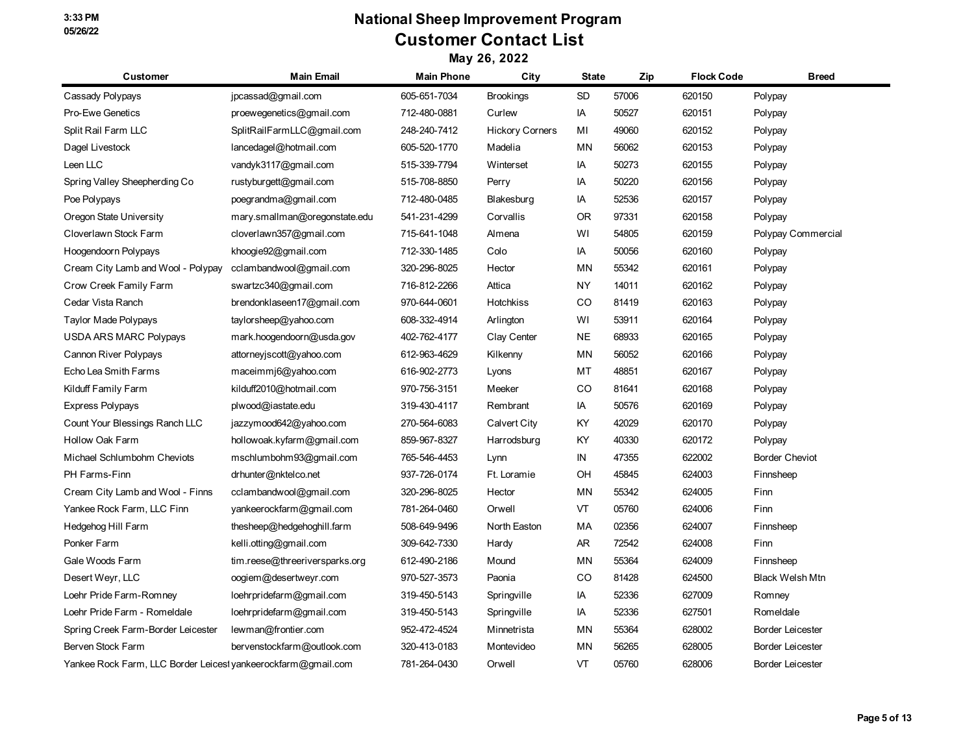| <b>Customer</b>                                               | <b>Main Email</b>              | <b>Main Phone</b> | City                   | <b>State</b> | Zip   | <b>Flock Code</b> | <b>Breed</b>            |
|---------------------------------------------------------------|--------------------------------|-------------------|------------------------|--------------|-------|-------------------|-------------------------|
| Cassady Polypays                                              | jpcassad@gmail.com             | 605-651-7034      | <b>Brookings</b>       | <b>SD</b>    | 57006 | 620150            | Polypay                 |
| <b>Pro-Ewe Genetics</b>                                       | proewegenetics@gmail.com       | 712-480-0881      | Curlew                 | IA           | 50527 | 620151            | Polypay                 |
| Split Rail Farm LLC                                           | SplitRailFarmLLC@gmail.com     | 248-240-7412      | <b>Hickory Corners</b> | MI           | 49060 | 620152            | Polypay                 |
| Dagel Livestock                                               | lancedagel@hotmail.com         | 605-520-1770      | Madelia                | <b>MN</b>    | 56062 | 620153            | Polypay                 |
| Leen LLC                                                      | vandyk3117@gmail.com           | 515-339-7794      | Winterset              | IA           | 50273 | 620155            | Polypay                 |
| Spring Valley Sheepherding Co                                 | rustyburgett@gmail.com         | 515-708-8850      | Perry                  | IA           | 50220 | 620156            | Polypay                 |
| Poe Polypays                                                  | poegrandma@gmail.com           | 712-480-0485      | Blakesburg             | IA           | 52536 | 620157            | Polypay                 |
| Oregon State University                                       | mary.smallman@oregonstate.edu  | 541-231-4299      | Corvallis              | <b>OR</b>    | 97331 | 620158            | Polypay                 |
| Cloverlawn Stock Farm                                         | cloverlawn357@gmail.com        | 715-641-1048      | Almena                 | WI           | 54805 | 620159            | Polypay Commercial      |
| Hoogendoorn Polypays                                          | khoogie92@gmail.com            | 712-330-1485      | Colo                   | IA           | 50056 | 620160            | Polypay                 |
| Cream City Lamb and Wool - Polypay                            | cclambandwool@gmail.com        | 320-296-8025      | Hector                 | MN           | 55342 | 620161            | Polypay                 |
| Crow Creek Family Farm                                        | swartzc340@gmail.com           | 716-812-2266      | Attica                 | <b>NY</b>    | 14011 | 620162            | Polypay                 |
| Cedar Vista Ranch                                             | brendonklaseen17@gmail.com     | 970-644-0601      | Hotchkiss              | CO           | 81419 | 620163            | Polypay                 |
| Taylor Made Polypays                                          | taylorsheep@yahoo.com          | 608-332-4914      | Arlington              | WI           | 53911 | 620164            | Polypay                 |
| <b>USDA ARS MARC Polypays</b>                                 | mark.hoogendoorn@usda.gov      | 402-762-4177      | Clay Center            | <b>NE</b>    | 68933 | 620165            | Polypay                 |
| Cannon River Polypays                                         | attorneyjscott@yahoo.com       | 612-963-4629      | Kilkenny               | ΜN           | 56052 | 620166            | Polypay                 |
| Echo Lea Smith Farms                                          | maceimmj6@yahoo.com            | 616-902-2773      | Lyons                  | МT           | 48851 | 620167            | Polypay                 |
| Kilduff Family Farm                                           | kilduff2010@hotmail.com        | 970-756-3151      | Meeker                 | CO           | 81641 | 620168            | Polypay                 |
| <b>Express Polypays</b>                                       | plwood@iastate.edu             | 319-430-4117      | Rembrant               | IA           | 50576 | 620169            | Polypay                 |
| Count Your Blessings Ranch LLC                                | jazzymood642@yahoo.com         | 270-564-6083      | Calvert City           | KY           | 42029 | 620170            | Polypay                 |
| <b>Hollow Oak Farm</b>                                        | hollowoak.kyfarm@gmail.com     | 859-967-8327      | Harrodsburg            | KY           | 40330 | 620172            | Polypay                 |
| Michael Schlumbohm Cheviots                                   | mschlumbohm93@gmail.com        | 765-546-4453      | Lynn                   | IN           | 47355 | 622002            | <b>Border Cheviot</b>   |
| PH Farms-Finn                                                 | drhunter@nktelco.net           | 937-726-0174      | Ft. Loramie            | OH           | 45845 | 624003            | Finnsheep               |
| Cream City Lamb and Wool - Finns                              | cclambandwool@gmail.com        | 320-296-8025      | Hector                 | MN           | 55342 | 624005            | Finn                    |
| Yankee Rock Farm, LLC Finn                                    | yankeerockfarm@gmail.com       | 781-264-0460      | Orwell                 | VT           | 05760 | 624006            | Finn                    |
| Hedgehog Hill Farm                                            | thesheep@hedgehoghill.farm     | 508-649-9496      | North Easton           | МA           | 02356 | 624007            | Finnsheep               |
| Ponker Farm                                                   | kelli.otting@gmail.com         | 309-642-7330      | Hardy                  | AR           | 72542 | 624008            | Finn                    |
| Gale Woods Farm                                               | tim.reese@threeriversparks.org | 612-490-2186      | Mound                  | MN           | 55364 | 624009            | Finnsheep               |
| Desert Weyr, LLC                                              | oogiem@desertweyr.com          | 970-527-3573      | Paonia                 | CO           | 81428 | 624500            | <b>Black Welsh Mtn</b>  |
| Loehr Pride Farm-Romney                                       | loehrpridefarm@gmail.com       | 319-450-5143      | Springville            | IA           | 52336 | 627009            | Romney                  |
| Loehr Pride Farm - Romeldale                                  | loehrpridefarm@gmail.com       | 319-450-5143      | Springville            | IA           | 52336 | 627501            | Romeldale               |
| Spring Creek Farm-Border Leicester                            | lewman@frontier.com            | 952-472-4524      | Minnetrista            | MN           | 55364 | 628002            | <b>Border Leicester</b> |
| Berven Stock Farm                                             | bervenstockfarm@outlook.com    | 320-413-0183      | Montevideo             | <b>MN</b>    | 56265 | 628005            | <b>Border Leicester</b> |
| Yankee Rock Farm, LLC Border Leicesi vankeerockfarm@gmail.com |                                | 781-264-0430      | Orwell                 | VT           | 05760 | 628006            | <b>Border Leicester</b> |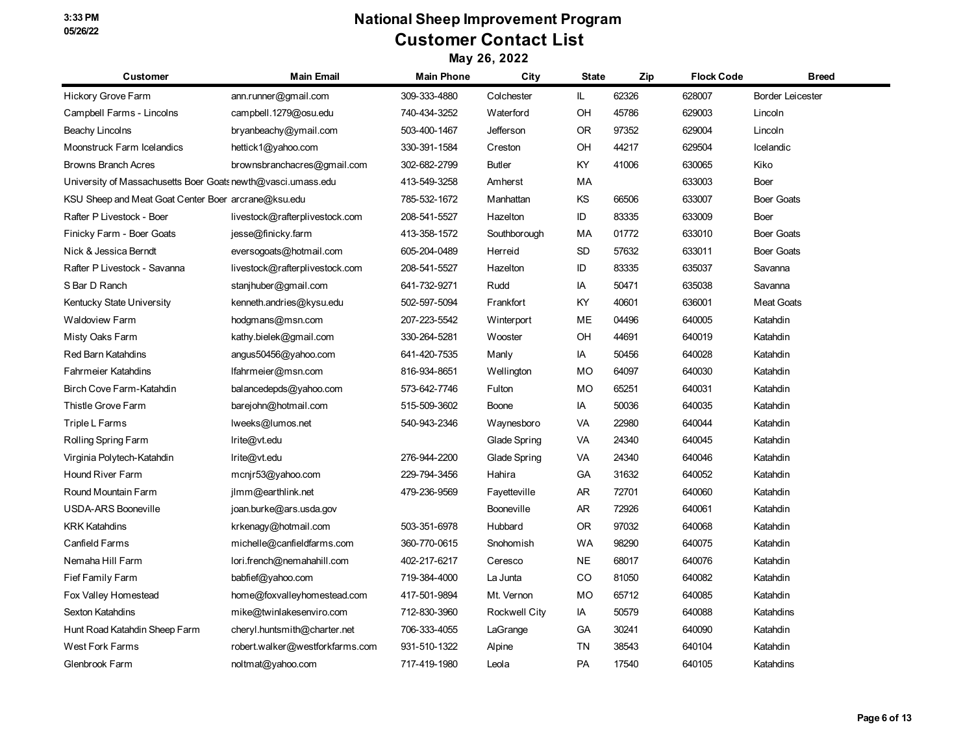# **National Sheep Improvement Program Customer Contact List**

| <b>Customer</b>                                              | <b>Main Email</b>               | <b>Main Phone</b> | City                 | <b>State</b>  | Zip   | <b>Flock Code</b> | <b>Breed</b>            |
|--------------------------------------------------------------|---------------------------------|-------------------|----------------------|---------------|-------|-------------------|-------------------------|
| Hickory Grove Farm                                           | ann.runner@gmail.com            | 309-333-4880      | Colchester           | $\mathsf{IL}$ | 62326 | 628007            | <b>Border Leicester</b> |
| Campbell Farms - Lincolns                                    | campbell.1279@osu.edu           | 740-434-3252      | Waterford            | OH            | 45786 | 629003            | Lincoln                 |
| Beachy Lincolns                                              | bryanbeachy@ymail.com           | 503-400-1467      | Jefferson            | 0R            | 97352 | 629004            | Lincoln                 |
| Moonstruck Farm Icelandics                                   | hettick1@yahoo.com              | 330-391-1584      | Creston              | OH            | 44217 | 629504            | Icelandic               |
| <b>Browns Branch Acres</b>                                   | brownsbranchacres@gmail.com     | 302-682-2799      | <b>Butler</b>        | KY            | 41006 | 630065            | Kiko                    |
| University of Massachusetts Boer Goats newth@vasci.umass.edu |                                 | 413-549-3258      | Amherst              | МA            |       | 633003            | <b>Boer</b>             |
| KSU Sheep and Meat Goat Center Boer arcrane@ksu.edu          |                                 | 785-532-1672      | Manhattan            | KS            | 66506 | 633007            | <b>Boer Goats</b>       |
| Rafter P Livestock - Boer                                    | livestock@rafterplivestock.com  | 208-541-5527      | Hazelton             | ID            | 83335 | 633009            | Boer                    |
| Finicky Farm - Boer Goats                                    | jesse@finicky.farm              | 413-358-1572      | Southborough         | МA            | 01772 | 633010            | <b>Boer Goats</b>       |
| Nick & Jessica Berndt                                        | eversogoats@hotmail.com         | 605-204-0489      | Herreid              | <b>SD</b>     | 57632 | 633011            | <b>Boer Goats</b>       |
| Rafter P Livestock - Savanna                                 | livestock@rafterplivestock.com  | 208-541-5527      | Hazelton             | ID            | 83335 | 635037            | Savanna                 |
| S Bar D Ranch                                                | stanjhuber@gmail.com            | 641-732-9271      | Rudd                 | IA            | 50471 | 635038            | Savanna                 |
| Kentucky State University                                    | kenneth.andries@kysu.edu        | 502-597-5094      | Frankfort            | KY            | 40601 | 636001            | <b>Meat Goats</b>       |
| <b>Waldoview Farm</b>                                        | hodgmans@msn.com                | 207-223-5542      | Winterport           | ME            | 04496 | 640005            | Katahdin                |
| Misty Oaks Farm                                              | kathy.bielek@gmail.com          | 330-264-5281      | Wooster              | OH            | 44691 | 640019            | Katahdin                |
| Red Barn Katahdins                                           | angus50456@yahoo.com            | 641-420-7535      | Manly                | IA            | 50456 | 640028            | Katahdin                |
| Fahrmeier Katahdins                                          | Ifahrmeier@msn.com              | 816-934-8651      | Wellington           | MO            | 64097 | 640030            | Katahdin                |
| Birch Cove Farm-Katahdin                                     | balancedepds@yahoo.com          | 573-642-7746      | Fulton               | MO            | 65251 | 640031            | Katahdin                |
| Thistle Grove Farm                                           | barejohn@hotmail.com            | 515-509-3602      | Boone                | IA            | 50036 | 640035            | Katahdin                |
| Triple L Farms                                               | lweeks@lumos.net                | 540-943-2346      | Waynesboro           | VA            | 22980 | 640044            | Katahdin                |
| Rolling Spring Farm                                          | Irite@vt.edu                    |                   | Glade Spring         | VA            | 24340 | 640045            | Katahdin                |
| Virginia Polytech-Katahdin                                   | Irite@vt.edu                    | 276-944-2200      | Glade Spring         | VA            | 24340 | 640046            | Katahdin                |
| Hound River Farm                                             | mcnjr53@yahoo.com               | 229-794-3456      | Hahira               | GA            | 31632 | 640052            | Katahdin                |
| Round Mountain Farm                                          | ilmm@earthlink.net              | 479-236-9569      | Fayetteville         | AR            | 72701 | 640060            | Katahdin                |
| <b>USDA-ARS Booneville</b>                                   | joan.burke@ars.usda.gov         |                   | Booneville           | AR            | 72926 | 640061            | Katahdin                |
| <b>KRK Katahdins</b>                                         | krkenagy@hotmail.com            | 503-351-6978      | Hubbard              | <b>OR</b>     | 97032 | 640068            | Katahdin                |
| Canfield Farms                                               | michelle@canfieldfarms.com      | 360-770-0615      | Snohomish            | <b>WA</b>     | 98290 | 640075            | Katahdin                |
| Nemaha Hill Farm                                             | lori.french@nemahahill.com      | 402-217-6217      | Ceresco              | <b>NE</b>     | 68017 | 640076            | Katahdin                |
| Fief Family Farm                                             | babfief@yahoo.com               | 719-384-4000      | La Junta             | CO            | 81050 | 640082            | Katahdin                |
| Fox Valley Homestead                                         | home@foxvalleyhomestead.com     | 417-501-9894      | Mt. Vernon           | MO            | 65712 | 640085            | Katahdin                |
| Sexton Katahdins                                             | mike@twinlakesenviro.com        | 712-830-3960      | <b>Rockwell City</b> | IA            | 50579 | 640088            | Katahdins               |
| Hunt Road Katahdin Sheep Farm                                | cheryl.huntsmith@charter.net    | 706-333-4055      | LaGrange             | GA            | 30241 | 640090            | Katahdin                |
| West Fork Farms                                              | robert.walker@westforkfarms.com | 931-510-1322      | Alpine               | <b>TN</b>     | 38543 | 640104            | Katahdin                |
| Glenbrook Farm                                               | noltmat@yahoo.com               | 717-419-1980      | Leola                | <b>PA</b>     | 17540 | 640105            | Katahdins               |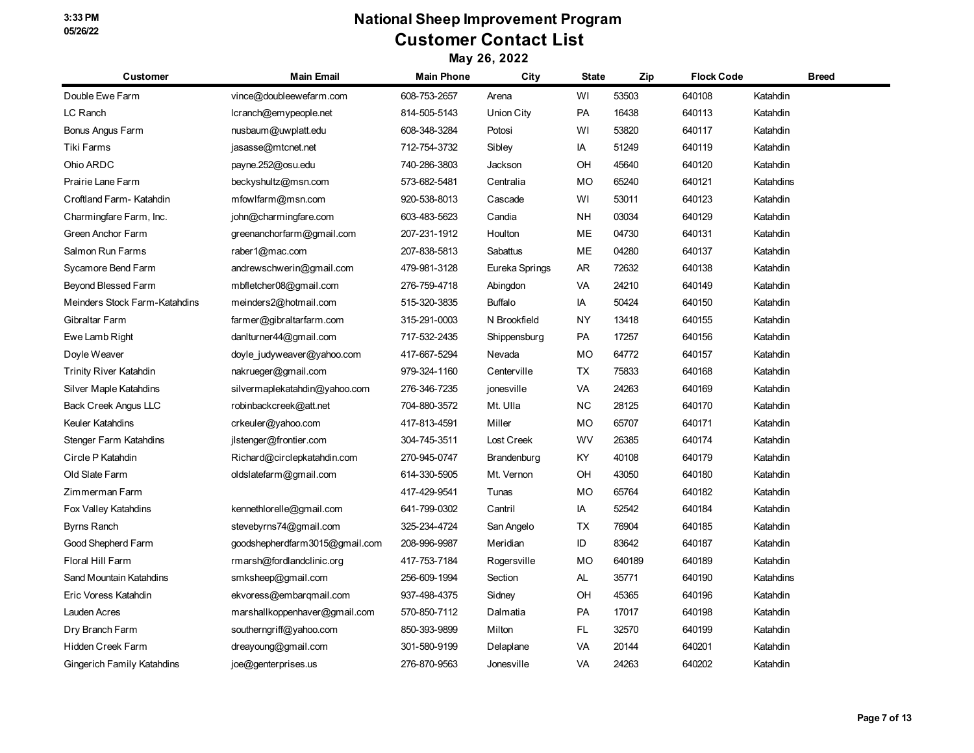| <b>Customer</b>               | <b>Main Email</b>              | <b>Main Phone</b> | City               | <b>State</b> | Zip    | <b>Flock Code</b> | <b>Breed</b> |
|-------------------------------|--------------------------------|-------------------|--------------------|--------------|--------|-------------------|--------------|
| Double Ewe Farm               | vince@doubleewefarm.com        | 608-753-2657      | Arena              | WI           | 53503  | 640108            | Katahdin     |
| LC Ranch                      | lcranch@emypeople.net          | 814-505-5143      | Union City         | PA           | 16438  | 640113            | Katahdin     |
| Bonus Angus Farm              | nusbaum@uwplatt.edu            | 608-348-3284      | Potosi             | WI           | 53820  | 640117            | Katahdin     |
| Tiki Farms                    | jasasse@mtcnet.net             | 712-754-3732      | Sibley             | IA           | 51249  | 640119            | Katahdin     |
| Ohio ARDC                     | payne.252@osu.edu              | 740-286-3803      | Jackson            | OH           | 45640  | 640120            | Katahdin     |
| Prairie Lane Farm             | beckyshultz@msn.com            | 573-682-5481      | Centralia          | <b>MO</b>    | 65240  | 640121            | Katahdins    |
| Croftland Farm- Katahdin      | mfowlfarm@msn.com              | 920-538-8013      | Cascade            | WI           | 53011  | 640123            | Katahdin     |
| Charmingfare Farm, Inc.       | john@charmingfare.com          | 603-483-5623      | Candia             | <b>NH</b>    | 03034  | 640129            | Katahdin     |
| Green Anchor Farm             | greenanchorfarm@gmail.com      | 207-231-1912      | Houlton            | ME           | 04730  | 640131            | Katahdin     |
| Salmon Run Farms              | raber1@mac.com                 | 207-838-5813      | Sabattus           | ME           | 04280  | 640137            | Katahdin     |
| Sycamore Bend Farm            | andrewschwerin@gmail.com       | 479-981-3128      | Eureka Springs     | AR           | 72632  | 640138            | Katahdin     |
| Beyond Blessed Farm           | mbfletcher08@gmail.com         | 276-759-4718      | Abingdon           | VA           | 24210  | 640149            | Katahdin     |
| Meinders Stock Farm-Katahdins | meinders2@hotmail.com          | 515-320-3835      | <b>Buffalo</b>     | IA           | 50424  | 640150            | Katahdin     |
| Gibraltar Farm                | farmer@gibraltarfarm.com       | 315-291-0003      | N Brookfield       | <b>NY</b>    | 13418  | 640155            | Katahdin     |
| Ewe Lamb Right                | danlturner44@gmail.com         | 717-532-2435      | Shippensburg       | <b>PA</b>    | 17257  | 640156            | Katahdin     |
| Doyle Weaver                  | doyle judyweaver@yahoo.com     | 417-667-5294      | Nevada             | <b>MO</b>    | 64772  | 640157            | Katahdin     |
| <b>Trinity River Katahdin</b> | nakrueger@gmail.com            | 979-324-1160      | Centerville        | TX           | 75833  | 640168            | Katahdin     |
| Silver Maple Katahdins        | silvermaplekatahdin@yahoo.com  | 276-346-7235      | jonesville         | VA           | 24263  | 640169            | Katahdin     |
| <b>Back Creek Angus LLC</b>   | robinbackcreek@att.net         | 704-880-3572      | Mt. Ulla           | <b>NC</b>    | 28125  | 640170            | Katahdin     |
| Keuler Katahdins              | crkeuler@yahoo.com             | 417-813-4591      | Miller             | MO           | 65707  | 640171            | Katahdin     |
| Stenger Farm Katahdins        | jIstenger@frontier.com         | 304-745-3511      | Lost Creek         | WV           | 26385  | 640174            | Katahdin     |
| Circle P Katahdin             | Richard@circlepkatahdin.com    | 270-945-0747      | <b>Brandenburg</b> | KY           | 40108  | 640179            | Katahdin     |
| Old Slate Farm                | oldslatefarm@gmail.com         | 614-330-5905      | Mt. Vernon         | OH           | 43050  | 640180            | Katahdin     |
| Zimmerman Farm                |                                | 417-429-9541      | Tunas              | MO           | 65764  | 640182            | Katahdin     |
| Fox Valley Katahdins          | kennethlorelle@gmail.com       | 641-799-0302      | Cantril            | IA           | 52542  | 640184            | Katahdin     |
| Byrns Ranch                   | stevebyrns74@gmail.com         | 325-234-4724      | San Angelo         | <b>TX</b>    | 76904  | 640185            | Katahdin     |
| Good Shepherd Farm            | goodshepherdfarm3015@gmail.com | 208-996-9987      | Meridian           | ID           | 83642  | 640187            | Katahdin     |
| Floral Hill Farm              | rmarsh@fordlandclinic.org      | 417-753-7184      | Rogersville        | MO           | 640189 | 640189            | Katahdin     |
| Sand Mountain Katahdins       | smksheep@gmail.com             | 256-609-1994      | Section            | AL           | 35771  | 640190            | Katahdins    |
| Eric Voress Katahdin          | ekvoress@embarqmail.com        | 937-498-4375      | Sidney             | OH           | 45365  | 640196            | Katahdin     |
| Lauden Acres                  | marshallkoppenhaver@gmail.com  | 570-850-7112      | Dalmatia           | PA           | 17017  | 640198            | Katahdin     |
| Dry Branch Farm               | southerngriff@yahoo.com        | 850-393-9899      | Milton             | FL.          | 32570  | 640199            | Katahdin     |
| <b>Hidden Creek Farm</b>      | dreayoung@gmail.com            | 301-580-9199      | Delaplane          | VA           | 20144  | 640201            | Katahdin     |
| Gingerich Family Katahdins    | joe@genterprises.us            | 276-870-9563      | Jonesville         | <b>VA</b>    | 24263  | 640202            | Katahdin     |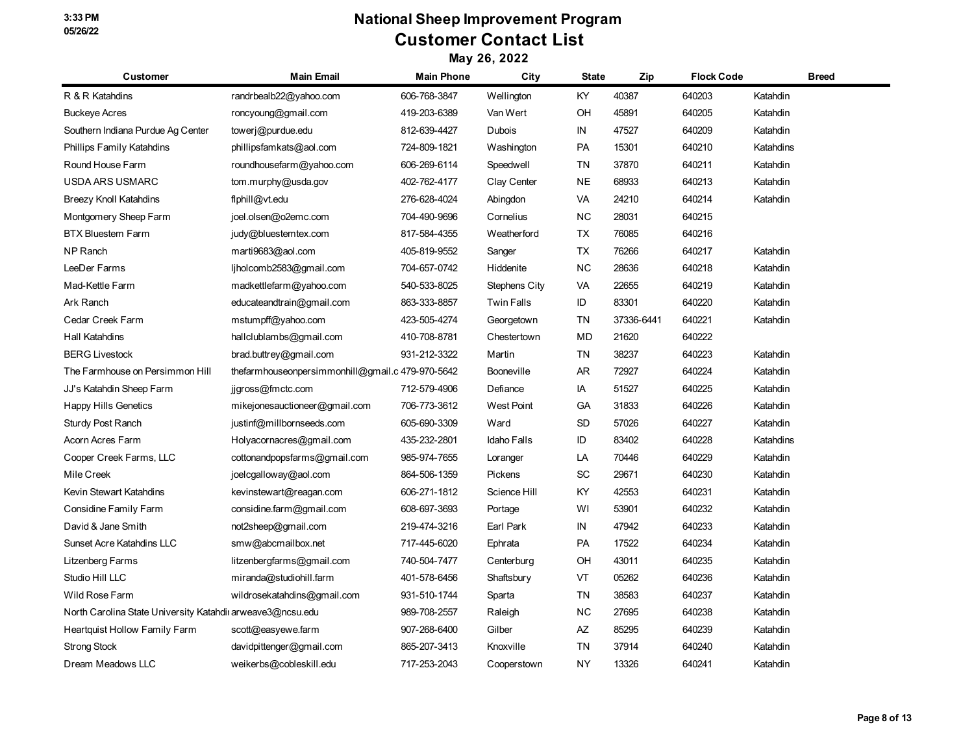## **National Sheep Improvement Program Customer Contact List**

| <b>Customer</b>                                           | <b>Main Email</b>                                | <b>Main Phone</b> | City                 | <b>State</b> | Zip        | <b>Flock Code</b> | <b>Breed</b> |
|-----------------------------------------------------------|--------------------------------------------------|-------------------|----------------------|--------------|------------|-------------------|--------------|
| R & R Katahdins                                           | randrbealb22@yahoo.com                           | 606-768-3847      | Wellington           | KY           | 40387      | 640203            | Katahdin     |
| <b>Buckeye Acres</b>                                      | roncyoung@gmail.com                              | 419-203-6389      | Van Wert             | OH           | 45891      | 640205            | Katahdin     |
| Southern Indiana Purdue Ag Center                         | toweri@purdue.edu                                | 812-639-4427      | Dubois               | IN           | 47527      | 640209            | Katahdin     |
| Phillips Family Katahdins                                 | phillipsfamkats@aol.com                          | 724-809-1821      | Washington           | PA           | 15301      | 640210            | Katahdins    |
| Round House Farm                                          | roundhousefarm@yahoo.com                         | 606-269-6114      | Speedwell            | <b>TN</b>    | 37870      | 640211            | Katahdin     |
| USDA ARS USMARC                                           | tom.murphy@usda.gov                              | 402-762-4177      | Clay Center          | NE           | 68933      | 640213            | Katahdin     |
| Breezy Knoll Katahdins                                    | flphill@vt.edu                                   | 276-628-4024      | Abingdon             | VA           | 24210      | 640214            | Katahdin     |
| Montgomery Sheep Farm                                     | joel.olsen@o2emc.com                             | 704-490-9696      | Cornelius            | NС           | 28031      | 640215            |              |
| <b>BTX Bluestem Farm</b>                                  | judy@bluestemtex.com                             | 817-584-4355      | Weatherford          | TX           | 76085      | 640216            |              |
| <b>NP Ranch</b>                                           | marti9683@aol.com                                | 405-819-9552      | Sanger               | TX           | 76266      | 640217            | Katahdin     |
| LeeDer Farms                                              | ljholcomb2583@gmail.com                          | 704-657-0742      | Hiddenite            | ΝC           | 28636      | 640218            | Katahdin     |
| Mad-Kettle Farm                                           | madkettlefarm@yahoo.com                          | 540-533-8025      | <b>Stephens City</b> | VA           | 22655      | 640219            | Katahdin     |
| Ark Ranch                                                 | educateandtrain@gmail.com                        | 863-333-8857      | <b>Twin Falls</b>    | ID           | 83301      | 640220            | Katahdin     |
| Cedar Creek Farm                                          | mstumpff@yahoo.com                               | 423-505-4274      | Georgetown           | <b>TN</b>    | 37336-6441 | 640221            | Katahdin     |
| Hall Katahdins                                            | hallclublambs@gmail.com                          | 410-708-8781      | Chestertown          | MD           | 21620      | 640222            |              |
| <b>BERG Livestock</b>                                     | brad.buttrey@gmail.com                           | 931-212-3322      | Martin               | <b>TN</b>    | 38237      | 640223            | Katahdin     |
| The Farmhouse on Persimmon Hill                           | thefarmhouseonpersimmonhill@gmail.c 479-970-5642 |                   | Booneville           | AR           | 72927      | 640224            | Katahdin     |
| JJ's Katahdin Sheep Farm                                  | jjgross@fmctc.com                                | 712-579-4906      | Defiance             | IA           | 51527      | 640225            | Katahdin     |
| Happy Hills Genetics                                      | mikejonesauctioneer@gmail.com                    | 706-773-3612      | <b>West Point</b>    | GА           | 31833      | 640226            | Katahdin     |
| Sturdy Post Ranch                                         | justinf@millbornseeds.com                        | 605-690-3309      | Ward                 | SD           | 57026      | 640227            | Katahdin     |
| Acorn Acres Farm                                          | Holyacornacres@gmail.com                         | 435-232-2801      | Idaho Falls          | ID           | 83402      | 640228            | Katahdins    |
| Cooper Creek Farms, LLC                                   | cottonandpopsfarms@gmail.com                     | 985-974-7655      | Loranger             | LA           | 70446      | 640229            | Katahdin     |
| Mile Creek                                                | joelcgalloway@aol.com                            | 864-506-1359      | Pickens              | SC           | 29671      | 640230            | Katahdin     |
| Kevin Stewart Katahdins                                   | kevinstewart@reagan.com                          | 606-271-1812      | Science Hill         | KY           | 42553      | 640231            | Katahdin     |
| Considine Family Farm                                     | considine.farm@gmail.com                         | 608-697-3693      | Portage              | W١           | 53901      | 640232            | Katahdin     |
| David & Jane Smith                                        | not2sheep@gmail.com                              | 219-474-3216      | Earl Park            | IN           | 47942      | 640233            | Katahdin     |
| <b>Sunset Acre Katahdins LLC</b>                          | smw@abcmailbox.net                               | 717-445-6020      | Ephrata              | PA           | 17522      | 640234            | Katahdin     |
| Litzenberg Farms                                          | litzenbergfarms@gmail.com                        | 740-504-7477      | Centerburg           | OН           | 43011      | 640235            | Katahdin     |
| Studio Hill LLC                                           | miranda@studiohill.farm                          | 401-578-6456      | Shaftsbury           | VT           | 05262      | 640236            | Katahdin     |
| Wild Rose Farm                                            | wildrosekatahdins@gmail.com                      | 931-510-1744      | Sparta               | <b>TN</b>    | 38583      | 640237            | Katahdin     |
| North Carolina State University Katahdi arweave3@ncsu.edu |                                                  | 989-708-2557      | Raleigh              | ΝC           | 27695      | 640238            | Katahdin     |
| Heartquist Hollow Family Farm                             | scott@easyewe.farm                               | 907-268-6400      | Gilber               | AZ           | 85295      | 640239            | Katahdin     |
| <b>Strong Stock</b>                                       | davidpittenger@gmail.com                         | 865-207-3413      | Knoxville            | <b>TN</b>    | 37914      | 640240            | Katahdin     |
| Dream Meadows LLC                                         | weikerbs@cobleskill.edu                          | 717-253-2043      | Cooperstown          | NΥ           | 13326      | 640241            | Katahdin     |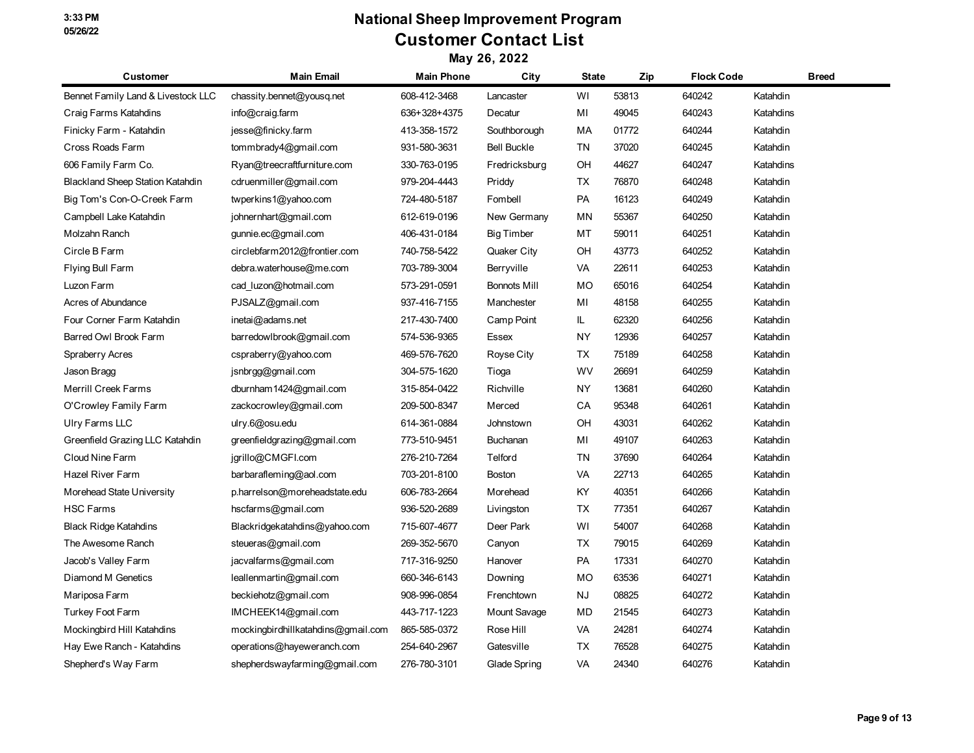# **National Sheep Improvement Program Customer Contact List**

| <b>Customer</b>                         | <b>Main Email</b>                  | <b>Main Phone</b> | City                | <b>State</b> | Zip   | <b>Flock Code</b> | <b>Breed</b> |
|-----------------------------------------|------------------------------------|-------------------|---------------------|--------------|-------|-------------------|--------------|
| Bennet Family Land & Livestock LLC      | chassity.bennet@yousq.net          | 608-412-3468      | Lancaster           | WI           | 53813 | 640242            | Katahdin     |
| Craig Farms Katahdins                   | info@craig.farm                    | 636+328+4375      | Decatur             | MI           | 49045 | 640243            | Katahdins    |
| Finicky Farm - Katahdin                 | jesse@finicky.farm                 | 413-358-1572      | Southborough        | МA           | 01772 | 640244            | Katahdin     |
| Cross Roads Farm                        | tommbrady4@gmail.com               | 931-580-3631      | <b>Bell Buckle</b>  | TN           | 37020 | 640245            | Katahdin     |
| 606 Family Farm Co.                     | Ryan@treecraftfurniture.com        | 330-763-0195      | Fredricksburg       | OH           | 44627 | 640247            | Katahdins    |
| <b>Blackland Sheep Station Katahdin</b> | cdruenmiller@gmail.com             | 979-204-4443      | Priddy              | TX           | 76870 | 640248            | Katahdin     |
| Big Tom's Con-O-Creek Farm              | twperkins1@yahoo.com               | 724-480-5187      | Fombell             | PA           | 16123 | 640249            | Katahdin     |
| Campbell Lake Katahdin                  | johnernhart@gmail.com              | 612-619-0196      | New Germany         | <b>MN</b>    | 55367 | 640250            | Katahdin     |
| Molzahn Ranch                           | gunnie.ec@gmail.com                | 406-431-0184      | <b>Big Timber</b>   | MT           | 59011 | 640251            | Katahdin     |
| Circle B Farm                           | circlebfarm2012@frontier.com       | 740-758-5422      | Quaker City         | OH           | 43773 | 640252            | Katahdin     |
| Flying Bull Farm                        | debra.waterhouse@me.com            | 703-789-3004      | Berryville          | VA           | 22611 | 640253            | Katahdin     |
| Luzon Farm                              | cad luzon@hotmail.com              | 573-291-0591      | <b>Bonnots Mill</b> | MO           | 65016 | 640254            | Katahdin     |
| Acres of Abundance                      | PJSALZ@gmail.com                   | 937-416-7155      | Manchester          | MI           | 48158 | 640255            | Katahdin     |
| Four Corner Farm Katahdin               | inetai@adams.net                   | 217-430-7400      | Camp Point          | IL.          | 62320 | 640256            | Katahdin     |
| Barred Owl Brook Farm                   | barredowlbrook@gmail.com           | 574-536-9365      | Essex               | <b>NY</b>    | 12936 | 640257            | Katahdin     |
| <b>Spraberry Acres</b>                  | cspraberry@yahoo.com               | 469-576-7620      | Royse City          | TX           | 75189 | 640258            | Katahdin     |
| Jason Bragg                             | jsnbrgg@gmail.com                  | 304-575-1620      | Tioga               | WV           | 26691 | 640259            | Katahdin     |
| <b>Merrill Creek Farms</b>              | dburnham 1424@gmail.com            | 315-854-0422      | Richville           | NY.          | 13681 | 640260            | Katahdin     |
| O'Crowley Family Farm                   | zackocrowley@gmail.com             | 209-500-8347      | Merced              | CA           | 95348 | 640261            | Katahdin     |
| Ulry Farms LLC                          | ulry.6@osu.edu                     | 614-361-0884      | Johnstown           | OH           | 43031 | 640262            | Katahdin     |
| Greenfield Grazing LLC Katahdin         | greenfieldgrazing@gmail.com        | 773-510-9451      | Buchanan            | MI           | 49107 | 640263            | Katahdin     |
| Cloud Nine Farm                         | jgrillo@CMGFI.com                  | 276-210-7264      | Telford             | TN           | 37690 | 640264            | Katahdin     |
| Hazel River Farm                        | barbarafleming@aol.com             | 703-201-8100      | <b>Boston</b>       | VA           | 22713 | 640265            | Katahdin     |
| Morehead State University               | p.harrelson@moreheadstate.edu      | 606-783-2664      | Morehead            | KY           | 40351 | 640266            | Katahdin     |
| <b>HSC Farms</b>                        | hscfarms@gmail.com                 | 936-520-2689      | Livingston          | TX           | 77351 | 640267            | Katahdin     |
| <b>Black Ridge Katahdins</b>            | Blackridgekatahdins@yahoo.com      | 715-607-4677      | Deer Park           | WI           | 54007 | 640268            | Katahdin     |
| The Awesome Ranch                       | steueras@gmail.com                 | 269-352-5670      | Canyon              | TX           | 79015 | 640269            | Katahdin     |
| Jacob's Valley Farm                     | jacvalfarms@gmail.com              | 717-316-9250      | Hanover             | PA           | 17331 | 640270            | Katahdin     |
| Diamond M Genetics                      | leallenmartin@gmail.com            | 660-346-6143      | Downing             | MO           | 63536 | 640271            | Katahdin     |
| Mariposa Farm                           | beckiehotz@gmail.com               | 908-996-0854      | Frenchtown          | <b>NJ</b>    | 08825 | 640272            | Katahdin     |
| Turkey Foot Farm                        | IMCHEEK14@gmail.com                | 443-717-1223      | Mount Savage        | <b>MD</b>    | 21545 | 640273            | Katahdin     |
| Mockingbird Hill Katahdins              | mockingbirdhillkatahdins@gmail.com | 865-585-0372      | Rose Hill           | VA           | 24281 | 640274            | Katahdin     |
| Hay Ewe Ranch - Katahdins               | operations@hayeweranch.com         | 254-640-2967      | Gatesville          | TX           | 76528 | 640275            | Katahdin     |
| Shepherd's Way Farm                     | shepherdswayfarming@gmail.com      | 276-780-3101      | Glade Spring        | <b>VA</b>    | 24340 | 640276            | Katahdin     |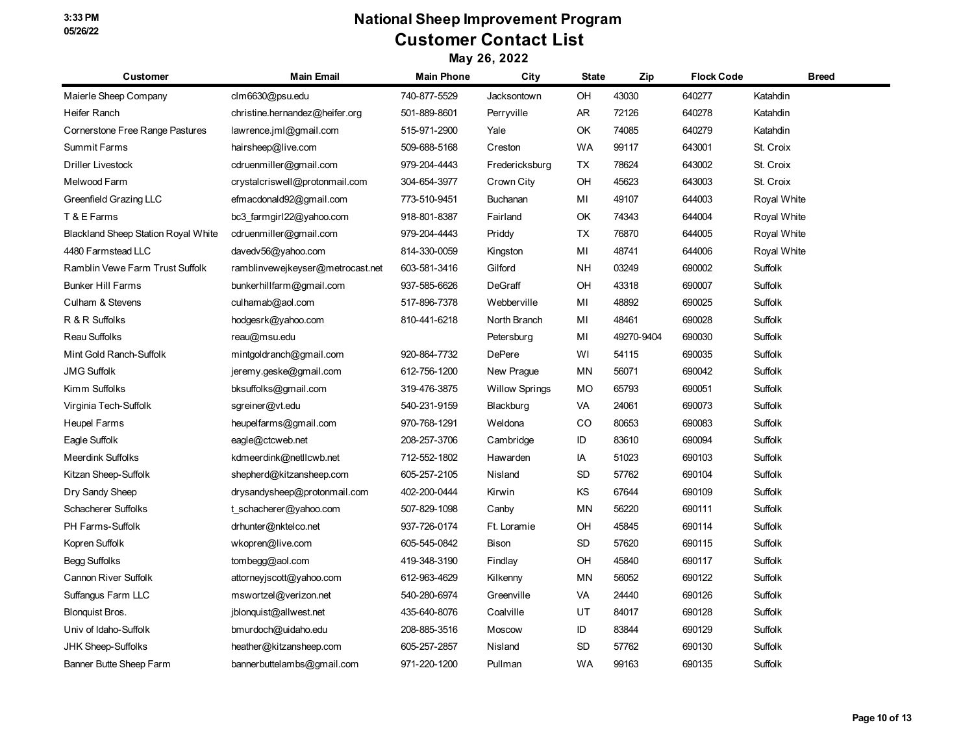### **National Sheep Improvement Program Customer Contact List**

| <b>Customer</b>                            | <b>Main Email</b>                | <b>Main Phone</b> | City                  | <b>State</b> | Zip        | <b>Flock Code</b> | <b>Breed</b>   |
|--------------------------------------------|----------------------------------|-------------------|-----------------------|--------------|------------|-------------------|----------------|
| Maierle Sheep Company                      | clm6630@psu.edu                  | 740-877-5529      | Jacksontown           | OH           | 43030      | 640277            | Katahdin       |
| Heifer Ranch                               | christine.hernandez@heifer.org   | 501-889-8601      | Perryville            | AR           | 72126      | 640278            | Katahdin       |
| Cornerstone Free Range Pastures            | lawrence.jml@gmail.com           | 515-971-2900      | Yale                  | OK           | 74085      | 640279            | Katahdin       |
| Summit Farms                               | hairsheep@live.com               | 509-688-5168      | Creston               | <b>WA</b>    | 99117      | 643001            | St. Croix      |
| <b>Driller Livestock</b>                   | cdruenmiller@gmail.com           | 979-204-4443      | Fredericksburg        | TX           | 78624      | 643002            | St. Croix      |
| Melwood Farm                               | crystalcriswell@protonmail.com   | 304-654-3977      | Crown City            | OH           | 45623      | 643003            | St. Croix      |
| Greenfield Grazing LLC                     | efmacdonald92@gmail.com          | 773-510-9451      | Buchanan              | ΜI           | 49107      | 644003            | Royal White    |
| T & E Farms                                | bc3 farmgirl22@yahoo.com         | 918-801-8387      | Fairland              | OK           | 74343      | 644004            | Royal White    |
| <b>Blackland Sheep Station Royal White</b> | cdruenmiller@gmail.com           | 979-204-4443      | Priddy                | TX           | 76870      | 644005            | Royal White    |
| 4480 Farmstead LLC                         | davedv56@yahoo.com               | 814-330-0059      | Kingston              | ΜI           | 48741      | 644006            | Royal White    |
| Ramblin Vewe Farm Trust Suffolk            | ramblinvewejkeyser@metrocast.net | 603-581-3416      | Gilford               | <b>NH</b>    | 03249      | 690002            | Suffolk        |
| <b>Bunker Hill Farms</b>                   | bunkerhillfarm@gmail.com         | 937-585-6626      | DeGraff               | OH           | 43318      | 690007            | <b>Suffolk</b> |
| Culham & Stevens                           | culhamab@aol.com                 | 517-896-7378      | Webberville           | ΜI           | 48892      | 690025            | Suffolk        |
| R & R Suffolks                             | hodgesrk@yahoo.com               | 810-441-6218      | North Branch          | ΜI           | 48461      | 690028            | Suffolk        |
| Reau Suffolks                              | reau@msu.edu                     |                   | Petersburg            | ΜI           | 49270-9404 | 690030            | Suffolk        |
| Mint Gold Ranch-Suffolk                    | mintgoldranch@gmail.com          | 920-864-7732      | DePere                | WI           | 54115      | 690035            | Suffolk        |
| <b>JMG Suffolk</b>                         | jeremy.geske@gmail.com           | 612-756-1200      | New Prague            | MN           | 56071      | 690042            | Suffolk        |
| Kimm Suffolks                              | bksuffolks@gmail.com             | 319-476-3875      | <b>Willow Springs</b> | МO           | 65793      | 690051            | Suffolk        |
| Virginia Tech-Suffolk                      | sgreiner@vt.edu                  | 540-231-9159      | Blackburg             | VA           | 24061      | 690073            | Suffolk        |
| <b>Heupel Farms</b>                        | heupelfarms@gmail.com            | 970-768-1291      | Weldona               | CO           | 80653      | 690083            | Suffolk        |
| Eagle Suffolk                              | eagle@ctcweb.net                 | 208-257-3706      | Cambridge             | ID           | 83610      | 690094            | Suffolk        |
| Meerdink Suffolks                          | kdmeerdink@netllcwb.net          | 712-552-1802      | Hawarden              | IA           | 51023      | 690103            | Suffolk        |
| Kitzan Sheep-Suffolk                       | shepherd@kitzansheep.com         | 605-257-2105      | Nisland               | <b>SD</b>    | 57762      | 690104            | Suffolk        |
| Dry Sandy Sheep                            | drysandysheep@protonmail.com     | 402-200-0444      | Kirwin                | KS           | 67644      | 690109            | Suffolk        |
| Schacherer Suffolks                        | t schacherer@yahoo.com           | 507-829-1098      | Canby                 | MN           | 56220      | 690111            | Suffolk        |
| PH Farms-Suffolk                           | drhunter@nktelco.net             | 937-726-0174      | Ft. Loramie           | OH           | 45845      | 690114            | Suffolk        |
| Kopren Suffolk                             | wkopren@live.com                 | 605-545-0842      | Bison                 | SD           | 57620      | 690115            | Suffolk        |
| Begg Suffolks                              | $tom$ begg@aol.com               | 419-348-3190      | Findlay               | OH           | 45840      | 690117            | Suffolk        |
| <b>Cannon River Suffolk</b>                | attorneyjscott@yahoo.com         | 612-963-4629      | Kilkenny              | MN           | 56052      | 690122            | Suffolk        |
| Suffangus Farm LLC                         | mswortzel@verizon.net            | 540-280-6974      | Greenville            | VA           | 24440      | 690126            | Suffolk        |
| <b>Blonquist Bros.</b>                     | jblonquist@allwest.net           | 435-640-8076      | Coalville             | UT           | 84017      | 690128            | Suffolk        |
| Univ of Idaho-Suffolk                      | bmurdoch@uidaho.edu              | 208-885-3516      | Moscow                | ID           | 83844      | 690129            | Suffolk        |
| <b>JHK Sheep-Suffolks</b>                  | heather@kitzansheep.com          | 605-257-2857      | Nisland               | SD           | 57762      | 690130            | Suffolk        |
| Banner Butte Sheep Farm                    | bannerbuttelambs@gmail.com       | 971-220-1200      | Pullman               | <b>WA</b>    | 99163      | 690135            | Suffolk        |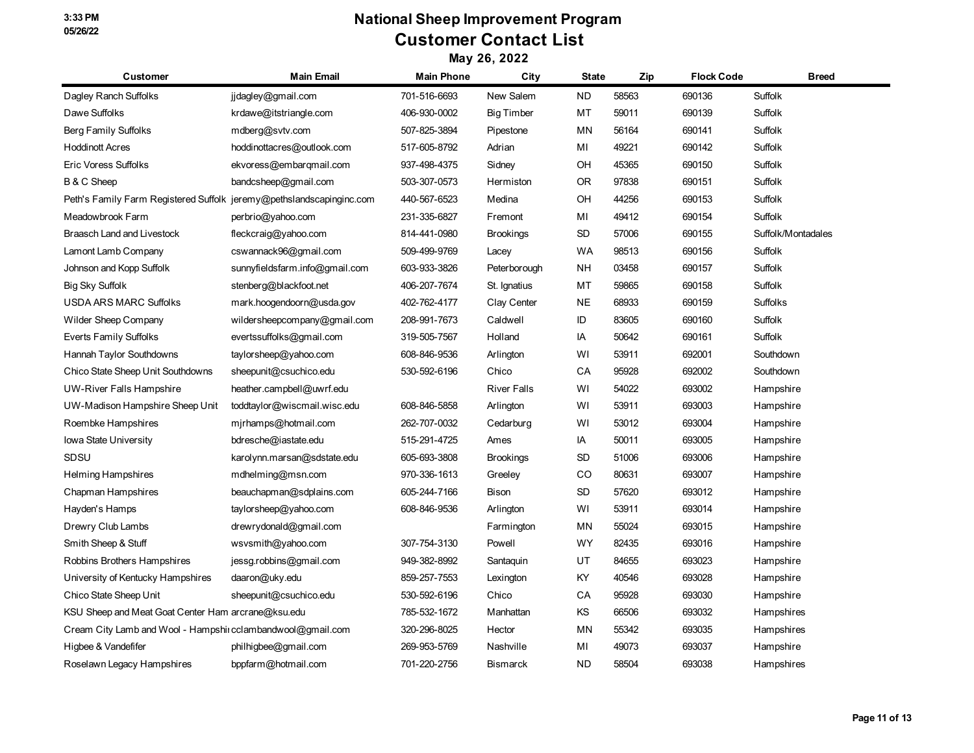# **National Sheep Improvement Program Customer Contact List**

| Customer                                                             | <b>Main Email</b>              | <b>Main Phone</b> | City               | <b>State</b> | Zip   | <b>Flock Code</b> | <b>Breed</b>       |
|----------------------------------------------------------------------|--------------------------------|-------------------|--------------------|--------------|-------|-------------------|--------------------|
| Dagley Ranch Suffolks                                                | jjdagley@gmail.com             | 701-516-6693      | New Salem          | <b>ND</b>    | 58563 | 690136            | Suffolk            |
| Dawe Suffolks                                                        | krdawe@itstriangle.com         | 406-930-0002      | <b>Big Timber</b>  | МT           | 59011 | 690139            | Suffolk            |
| Berg Family Suffolks                                                 | mdberg@svtv.com                | 507-825-3894      | Pipestone          | ΜN           | 56164 | 690141            | Suffolk            |
| <b>Hoddinott Acres</b>                                               | hoddinottacres@outlook.com     | 517-605-8792      | Adrian             | ΜI           | 49221 | 690142            | Suffolk            |
| <b>Eric Voress Suffolks</b>                                          | ekvoress@embarqmail.com        | 937-498-4375      | Sidney             | OH           | 45365 | 690150            | Suffolk            |
| B & C Sheep                                                          | bandcsheep@gmail.com           | 503-307-0573      | Hermiston          | <b>OR</b>    | 97838 | 690151            | Suffolk            |
| Peth's Family Farm Registered Suffolk jeremy@pethslandscapinginc.com |                                | 440-567-6523      | Medina             | OH           | 44256 | 690153            | Suffolk            |
| Meadowbrook Farm                                                     | perbrio@yahoo.com              | 231-335-6827      | Fremont            | MI           | 49412 | 690154            | <b>Suffolk</b>     |
| <b>Braasch Land and Livestock</b>                                    | fleckcraig@yahoo.com           | 814-441-0980      | <b>Brookings</b>   | <b>SD</b>    | 57006 | 690155            | Suffolk/Montadales |
| Lamont Lamb Company                                                  | cswannack96@gmail.com          | 509-499-9769      | Lacey              | WA           | 98513 | 690156            | Suffolk            |
| Johnson and Kopp Suffolk                                             | sunnyfieldsfarm.info@gmail.com | 603-933-3826      | Peterborough       | NΗ           | 03458 | 690157            | Suffolk            |
| Big Sky Suffolk                                                      | stenberg@blackfoot.net         | 406-207-7674      | St. Ignatius       | МT           | 59865 | 690158            | Suffolk            |
| <b>USDA ARS MARC Suffolks</b>                                        | mark.hoogendoorn@usda.gov      | 402-762-4177      | Clay Center        | NE           | 68933 | 690159            | Suffolks           |
| Wilder Sheep Company                                                 | wildersheepcompany@gmail.com   | 208-991-7673      | Caldwell           | ID           | 83605 | 690160            | Suffolk            |
| <b>Everts Family Suffolks</b>                                        | evertssuffolks@gmail.com       | 319-505-7567      | Holland            | IA           | 50642 | 690161            | Suffolk            |
| Hannah Taylor Southdowns                                             | taylorsheep@yahoo.com          | 608-846-9536      | Arlington          | WI           | 53911 | 692001            | Southdown          |
| Chico State Sheep Unit Southdowns                                    | sheepunit@csuchico.edu         | 530-592-6196      | Chico              | СA           | 95928 | 692002            | Southdown          |
| UW-River Falls Hampshire                                             | heather.campbell@uwrf.edu      |                   | <b>River Falls</b> | WI           | 54022 | 693002            | Hampshire          |
| UW-Madison Hampshire Sheep Unit                                      | toddtaylor@wiscmail.wisc.edu   | 608-846-5858      | Arlington          | WI           | 53911 | 693003            | Hampshire          |
| Roembke Hampshires                                                   | mjrhamps@hotmail.com           | 262-707-0032      | Cedarburg          | WI           | 53012 | 693004            | Hampshire          |
| Iowa State University                                                | bdresche@iastate.edu           | 515-291-4725      | Ames               | IA           | 50011 | 693005            | Hampshire          |
| SDSU                                                                 | karolynn.marsan@sdstate.edu    | 605-693-3808      | <b>Brookings</b>   | SD           | 51006 | 693006            | Hampshire          |
| Helming Hampshires                                                   | mdhelming@msn.com              | 970-336-1613      | Greeley            | CO           | 80631 | 693007            | Hampshire          |
| Chapman Hampshires                                                   | beauchapman@sdplains.com       | 605-244-7166      | Bison              | SD           | 57620 | 693012            | Hampshire          |
| Hayden's Hamps                                                       | taylorsheep@yahoo.com          | 608-846-9536      | Arlington          | WI           | 53911 | 693014            | Hampshire          |
| Drewry Club Lambs                                                    | drewrydonald@gmail.com         |                   | Farmington         | ΜN           | 55024 | 693015            | Hampshire          |
| Smith Sheep & Stuff                                                  | wsvsmith@yahoo.com             | 307-754-3130      | Powell             | <b>WY</b>    | 82435 | 693016            | Hampshire          |
| Robbins Brothers Hampshires                                          | jessg.robbins@gmail.com        | 949-382-8992      | Santaquin          | UT           | 84655 | 693023            | Hampshire          |
| University of Kentucky Hampshires                                    | daaron@uky.edu                 | 859-257-7553      | Lexington          | KY           | 40546 | 693028            | Hampshire          |
| Chico State Sheep Unit                                               | sheepunit@csuchico.edu         | 530-592-6196      | Chico              | СA           | 95928 | 693030            | Hampshire          |
| KSU Sheep and Meat Goat Center Ham arcrane@ksu.edu                   |                                | 785-532-1672      | Manhattan          | ΚS           | 66506 | 693032            | Hampshires         |
| Cream City Lamb and Wool - Hampshir cclambandwool@gmail.com          |                                | 320-296-8025      | Hector             | ΜN           | 55342 | 693035            | Hampshires         |
| Higbee & Vandefifer                                                  | philhigbee@gmail.com           | 269-953-5769      | Nashville          | MI           | 49073 | 693037            | Hampshire          |
| Roselawn Legacy Hampshires                                           | bppfarm@hotmail.com            | 701-220-2756      | <b>Bismarck</b>    | <b>ND</b>    | 58504 | 693038            | Hampshires         |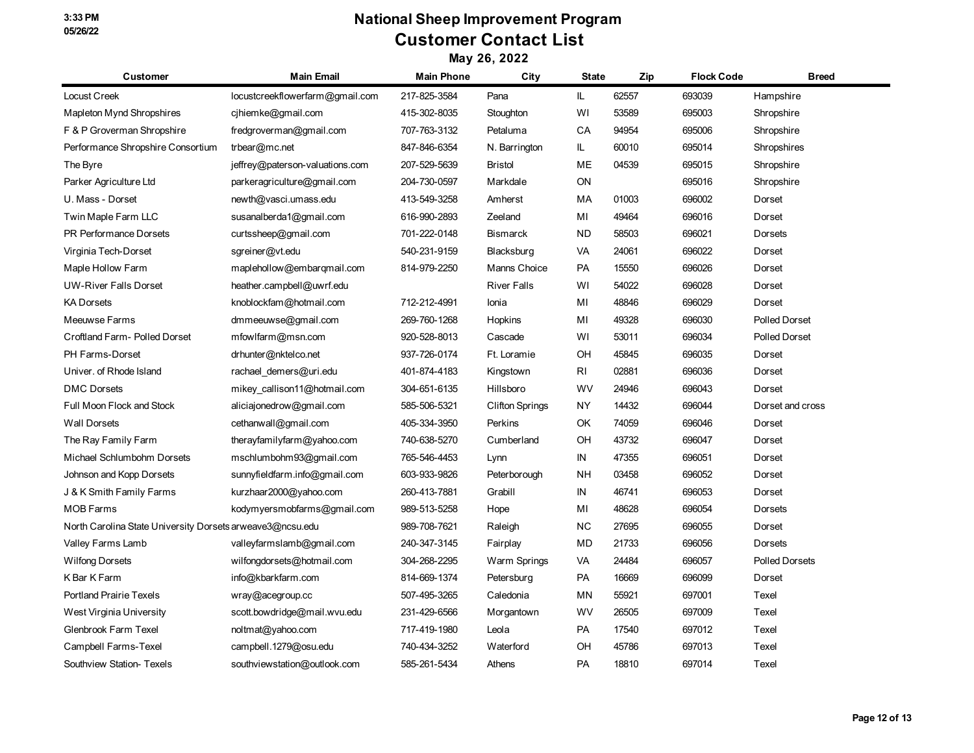### **National Sheep Improvement Program Customer Contact List**

| Customer                                                  | <b>Main Email</b>               | <b>Main Phone</b> | City                   | <b>State</b> | Zip   | <b>Flock Code</b> | <b>Breed</b>          |
|-----------------------------------------------------------|---------------------------------|-------------------|------------------------|--------------|-------|-------------------|-----------------------|
| <b>Locust Creek</b>                                       | locustcreekflowerfarm@gmail.com | 217-825-3584      | Pana                   | IL.          | 62557 | 693039            | Hampshire             |
| Mapleton Mynd Shropshires                                 | cihiemke@gmail.com              | 415-302-8035      | Stoughton              | W١           | 53589 | 695003            | Shropshire            |
| F & P Groverman Shropshire                                | fredgroverman@gmail.com         | 707-763-3132      | Petaluma               | СA           | 94954 | 695006            | Shropshire            |
| Performance Shropshire Consortium                         | trbear@mc.net                   | 847-846-6354      | N. Barrington          | IL.          | 60010 | 695014            | Shropshires           |
| The Byre                                                  | jeffrey@paterson-valuations.com | 207-529-5639      | <b>Bristol</b>         | ME           | 04539 | 695015            | Shropshire            |
| Parker Agriculture Ltd                                    | parkeragriculture@gmail.com     | 204-730-0597      | Markdale               | ON           |       | 695016            | Shropshire            |
| U. Mass - Dorset                                          | newth@vasci.umass.edu           | 413-549-3258      | Amherst                | МA           | 01003 | 696002            | Dorset                |
| Twin Maple Farm LLC                                       | susanalberda1@gmail.com         | 616-990-2893      | Zeeland                | MI           | 49464 | 696016            | Dorset                |
| PR Performance Dorsets                                    | curtssheep@gmail.com            | 701-222-0148      | <b>Bismarck</b>        | <b>ND</b>    | 58503 | 696021            | Dorsets               |
| Virginia Tech-Dorset                                      | sgreiner@vt.edu                 | 540-231-9159      | Blacksburg             | VA           | 24061 | 696022            | Dorset                |
| Maple Hollow Farm                                         | maplehollow@embargmail.com      | 814-979-2250      | Manns Choice           | PA           | 15550 | 696026            | Dorset                |
| <b>UW-River Falls Dorset</b>                              | heather.campbell@uwrf.edu       |                   | <b>River Falls</b>     | WI           | 54022 | 696028            | Dorset                |
| <b>KA Dorsets</b>                                         | knoblockfam@hotmail.com         | 712-212-4991      | Ionia                  | MI           | 48846 | 696029            | Dorset                |
| Meeuwse Farms                                             | dmmeeuwse@gmail.com             | 269-760-1268      | Hopkins                | MI           | 49328 | 696030            | <b>Polled Dorset</b>  |
| Croftland Farm- Polled Dorset                             | mfowlfarm@msn.com               | 920-528-8013      | Cascade                | WI           | 53011 | 696034            | <b>Polled Dorset</b>  |
| PH Farms-Dorset                                           | drhunter@nktelco.net            | 937-726-0174      | Ft. Loramie            | OH           | 45845 | 696035            | Dorset                |
| Univer, of Rhode Island                                   | rachael demers@uri.edu          | 401-874-4183      | Kingstown              | RI           | 02881 | 696036            | Dorset                |
| <b>DMC Dorsets</b>                                        | mikey_callison11@hotmail.com    | 304-651-6135      | Hillsboro              | WV           | 24946 | 696043            | Dorset                |
| Full Moon Flock and Stock                                 | aliciajonedrow@gmail.com        | 585-506-5321      | <b>Clifton Springs</b> | <b>NY</b>    | 14432 | 696044            | Dorset and cross      |
| <b>Wall Dorsets</b>                                       | cethanwall@gmail.com            | 405-334-3950      | Perkins                | OK           | 74059 | 696046            | Dorset                |
| The Ray Family Farm                                       | therayfamilyfarm@yahoo.com      | 740-638-5270      | Cumberland             | OH           | 43732 | 696047            | Dorset                |
| Michael Schlumbohm Dorsets                                | mschlumbohm93@gmail.com         | 765-546-4453      | Lynn                   | IN           | 47355 | 696051            | Dorset                |
| Johnson and Kopp Dorsets                                  | sunnyfieldfarm.info@gmail.com   | 603-933-9826      | Peterborough           | <b>NH</b>    | 03458 | 696052            | Dorset                |
| J & K Smith Family Farms                                  | kurzhaar2000@yahoo.com          | 260-413-7881      | Grabill                | IN           | 46741 | 696053            | Dorset                |
| <b>MOB Farms</b>                                          | kodymyersmobfarms@gmail.com     | 989-513-5258      | Hope                   | MI           | 48628 | 696054            | Dorsets               |
| North Carolina State University Dorsets arweave3@ncsu.edu |                                 | 989-708-7621      | Raleigh                | <b>NC</b>    | 27695 | 696055            | Dorset                |
| Valley Farms Lamb                                         | valleyfarmslamb@gmail.com       | 240-347-3145      | Fairplay               | MD           | 21733 | 696056            | <b>Dorsets</b>        |
| <b>Wilfong Dorsets</b>                                    | wilfongdorsets@hotmail.com      | 304-268-2295      | Warm Springs           | VA           | 24484 | 696057            | <b>Polled Dorsets</b> |
| K Bar K Farm                                              | info@kbarkfarm.com              | 814-669-1374      | Petersburg             | PA           | 16669 | 696099            | Dorset                |
| <b>Portland Prairie Texels</b>                            | wray@acegroup.cc                | 507-495-3265      | Caledonia              | ΜN           | 55921 | 697001            | Texel                 |
| West Virginia University                                  | scott.bowdridge@mail.wvu.edu    | 231-429-6566      | Morgantown             | WV           | 26505 | 697009            | Texel                 |
| Glenbrook Farm Texel                                      | noltmat@yahoo.com               | 717-419-1980      | Leola                  | PA           | 17540 | 697012            | Texel                 |
| Campbell Farms-Texel                                      | campbell.1279@osu.edu           | 740-434-3252      | Waterford              | OH           | 45786 | 697013            | Texel                 |
| Southview Station- Texels                                 | southviewstation@outlook.com    | 585-261-5434      | Athens                 | PA           | 18810 | 697014            | Texel                 |